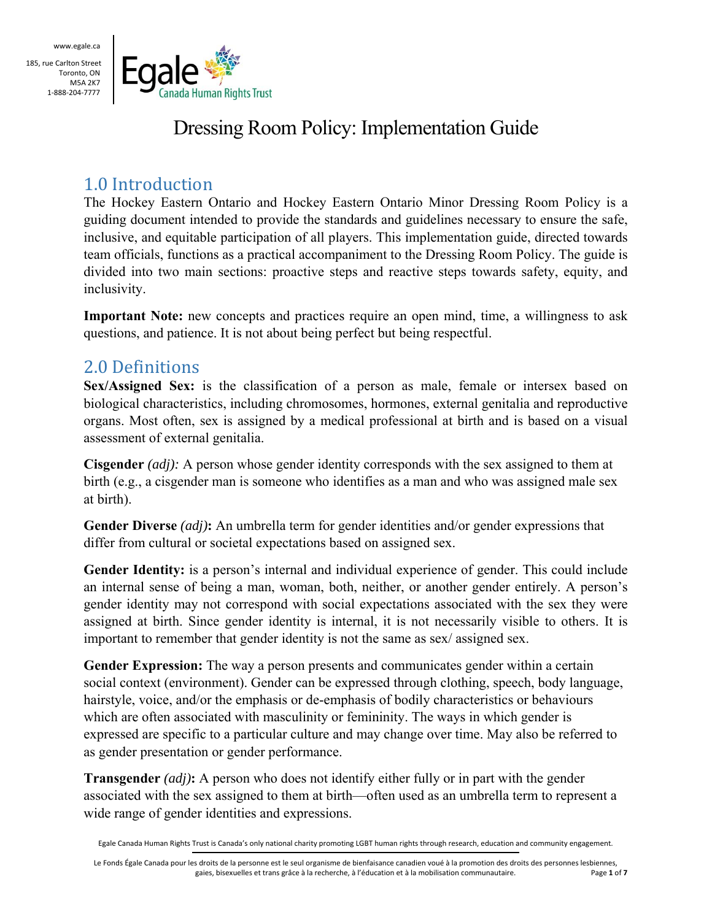185, rue Carlton Street Toronto, ON M5A 2K7 1‐888‐204‐7777



# Dressing Room Policy: Implementation Guide

# 1.0 Introduction

The Hockey Eastern Ontario and Hockey Eastern Ontario Minor Dressing Room Policy is a guiding document intended to provide the standards and guidelines necessary to ensure the safe, inclusive, and equitable participation of all players. This implementation guide, directed towards team officials, functions as a practical accompaniment to the Dressing Room Policy. The guide is divided into two main sections: proactive steps and reactive steps towards safety, equity, and inclusivity.

**Important Note:** new concepts and practices require an open mind, time, a willingness to ask questions, and patience. It is not about being perfect but being respectful.

### 2.0 Definitions

**Sex/Assigned Sex:** is the classification of a person as male, female or intersex based on biological characteristics, including chromosomes, hormones, external genitalia and reproductive organs. Most often, sex is assigned by a medical professional at birth and is based on a visual assessment of external genitalia.

**Cisgender** *(adj):* A person whose gender identity corresponds with the sex assigned to them at birth (e.g., a cisgender man is someone who identifies as a man and who was assigned male sex at birth).

**Gender Diverse** *(adj)***:** An umbrella term for gender identities and/or gender expressions that differ from cultural or societal expectations based on assigned sex.

**Gender Identity:** is a person's internal and individual experience of gender. This could include an internal sense of being a man, woman, both, neither, or another gender entirely. A person's gender identity may not correspond with social expectations associated with the sex they were assigned at birth. Since gender identity is internal, it is not necessarily visible to others. It is important to remember that gender identity is not the same as sex/ assigned sex.

**Gender Expression:** The way a person presents and communicates gender within a certain social context (environment). Gender can be expressed through clothing, speech, body language, hairstyle, voice, and/or the emphasis or de-emphasis of bodily characteristics or behaviours which are often associated with masculinity or femininity. The ways in which gender is expressed are specific to a particular culture and may change over time. May also be referred to as gender presentation or gender performance.

**Transgender** *(adj)***:** A person who does not identify either fully or in part with the gender associated with the sex assigned to them at birth—often used as an umbrella term to represent a wide range of gender identities and expressions.

Egale Canada Human Rights Trust is Canada's only national charity promoting LGBT human rights through research, education and community engagement.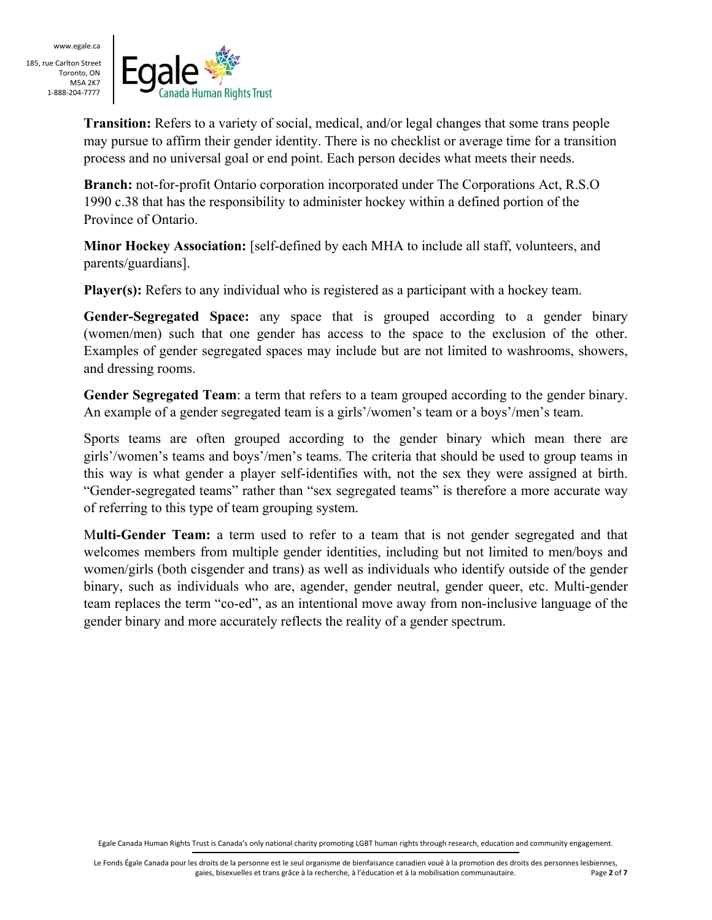185, rue Carlton Street Toronto, ON M5A 2K7 1‐888‐204‐7777



**Transition:** Refers to a variety of social, medical, and/or legal changes that some trans people may pursue to affirm their gender identity. There is no checklist or average time for a transition process and no universal goal or end point. Each person decides what meets their needs.

**Branch:** not-for-profit Ontario corporation incorporated under The Corporations Act, R.S.O 1990 c.38 that has the responsibility to administer hockey within a defined portion of the Province of Ontario.

**Minor Hockey Association:** [self-defined by each MHA to include all staff, volunteers, and parents/guardians].

**Player(s):** Refers to any individual who is registered as a participant with a hockey team.

**Gender-Segregated Space:** any space that is grouped according to a gender binary (women/men) such that one gender has access to the space to the exclusion of the other. Examples of gender segregated spaces may include but are not limited to washrooms, showers, and dressing rooms.

**Gender Segregated Team**: a term that refers to a team grouped according to the gender binary. An example of a gender segregated team is a girls'/women's team or a boys'/men's team.

Sports teams are often grouped according to the gender binary which mean there are girls'/women's teams and boys'/men's teams. The criteria that should be used to group teams in this way is what gender a player self-identifies with, not the sex they were assigned at birth. "Gender-segregated teams" rather than "sex segregated teams" is therefore a more accurate way of referring to this type of team grouping system.

M**ulti-Gender Team:** a term used to refer to a team that is not gender segregated and that welcomes members from multiple gender identities, including but not limited to men/boys and women/girls (both cisgender and trans) as well as individuals who identify outside of the gender binary, such as individuals who are, agender, gender neutral, gender queer, etc. Multi-gender team replaces the term "co-ed", as an intentional move away from non-inclusive language of the gender binary and more accurately reflects the reality of a gender spectrum.

Egale Canada Human Rights Trust is Canada's only national charity promoting LGBT human rights through research, education and community engagement.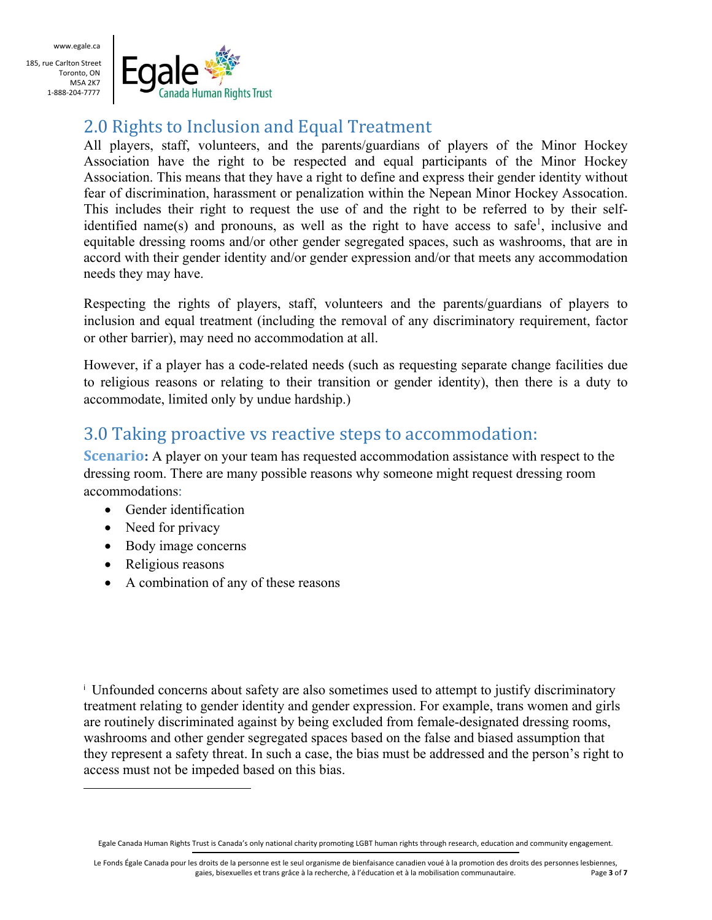185, rue Carlton Street Toronto, ON M5A 2K7 1‐888‐204‐7777



# 2.0 Rights to Inclusion and Equal Treatment

All players, staff, volunteers, and the parents/guardians of players of the Minor Hockey Association have the right to be respected and equal participants of the Minor Hockey Association. This means that they have a right to define and express their gender identity without fear of discrimination, harassment or penalization within the Nepean Minor Hockey Assocation. This includes their right to request the use of and the right to be referred to by their selfidentified name(s) and pronouns, as well as the right to have access to safe<sup>1</sup>, inclusive and equitable dressing rooms and/or other gender segregated spaces, such as washrooms, that are in accord with their gender identity and/or gender expression and/or that meets any accommodation needs they may have.

Respecting the rights of players, staff, volunteers and the parents/guardians of players to inclusion and equal treatment (including the removal of any discriminatory requirement, factor or other barrier), may need no accommodation at all.

However, if a player has a code-related needs (such as requesting separate change facilities due to religious reasons or relating to their transition or gender identity), then there is a duty to accommodate, limited only by undue hardship.)

### 3.0 Taking proactive vs reactive steps to accommodation:

**Scenario**: A player on your team has requested accommodation assistance with respect to the dressing room. There are many possible reasons why someone might request dressing room accommodations:

- Gender identification
- Need for privacy
- Body image concerns
- Religious reasons

 $\overline{a}$ 

• A combination of any of these reasons

i Unfounded concerns about safety are also sometimes used to attempt to justify discriminatory treatment relating to gender identity and gender expression. For example, trans women and girls are routinely discriminated against by being excluded from female-designated dressing rooms, washrooms and other gender segregated spaces based on the false and biased assumption that they represent a safety threat. In such a case, the bias must be addressed and the person's right to access must not be impeded based on this bias.

Egale Canada Human Rights Trust is Canada's only national charity promoting LGBT human rights through research, education and community engagement.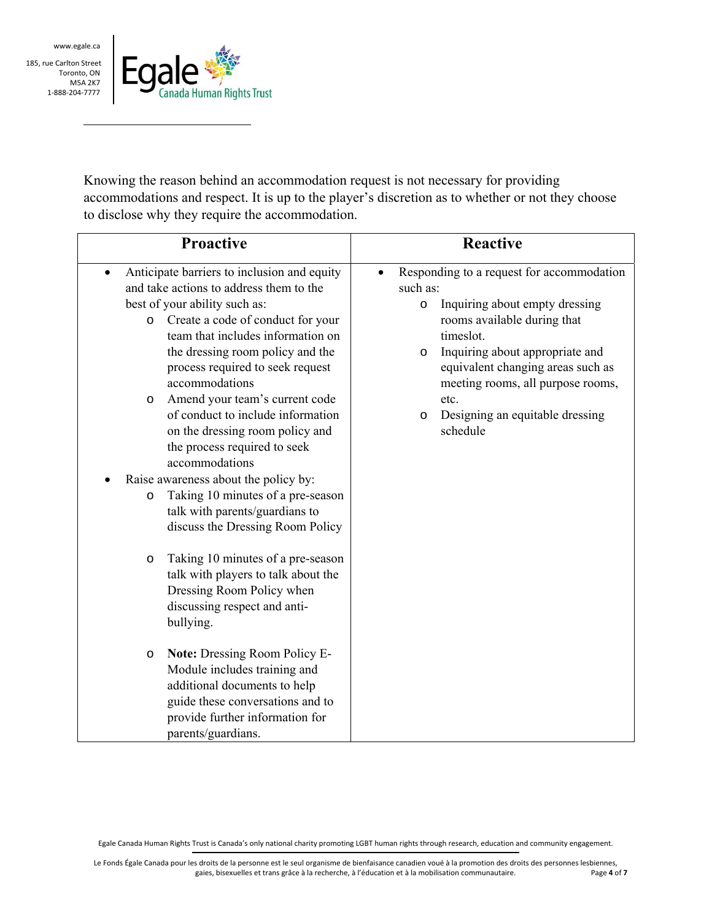$\overline{a}$ 

185, rue Carlton Street Toronto, ON M5A 2K7 1‐888‐204‐7777



Knowing the reason behind an accommodation request is not necessary for providing accommodations and respect. It is up to the player's discretion as to whether or not they choose to disclose why they require the accommodation.

| <b>Proactive</b>                                                                                                                                                                                                                                                                                                                                                                                                                                      | <b>Reactive</b>                                                                                                                                                                                                                                                                                                                                       |  |  |
|-------------------------------------------------------------------------------------------------------------------------------------------------------------------------------------------------------------------------------------------------------------------------------------------------------------------------------------------------------------------------------------------------------------------------------------------------------|-------------------------------------------------------------------------------------------------------------------------------------------------------------------------------------------------------------------------------------------------------------------------------------------------------------------------------------------------------|--|--|
| Anticipate barriers to inclusion and equity<br>and take actions to address them to the<br>best of your ability such as:<br>Create a code of conduct for your<br>$\circ$<br>team that includes information on<br>the dressing room policy and the<br>process required to seek request<br>accommodations<br>Amend your team's current code<br>O<br>of conduct to include information<br>on the dressing room policy and<br>the process required to seek | Responding to a request for accommodation<br>$\bullet$<br>such as:<br>Inquiring about empty dressing<br>$\circ$<br>rooms available during that<br>timeslot.<br>Inquiring about appropriate and<br>$\circ$<br>equivalent changing areas such as<br>meeting rooms, all purpose rooms,<br>etc.<br>Designing an equitable dressing<br>$\circ$<br>schedule |  |  |
| accommodations<br>Raise awareness about the policy by:<br>Taking 10 minutes of a pre-season<br>$\circ$<br>talk with parents/guardians to<br>discuss the Dressing Room Policy                                                                                                                                                                                                                                                                          |                                                                                                                                                                                                                                                                                                                                                       |  |  |
| Taking 10 minutes of a pre-season<br>O<br>talk with players to talk about the<br>Dressing Room Policy when<br>discussing respect and anti-<br>bullying.                                                                                                                                                                                                                                                                                               |                                                                                                                                                                                                                                                                                                                                                       |  |  |
| <b>Note: Dressing Room Policy E-</b><br>O<br>Module includes training and<br>additional documents to help<br>guide these conversations and to<br>provide further information for<br>parents/guardians.                                                                                                                                                                                                                                                |                                                                                                                                                                                                                                                                                                                                                       |  |  |

Egale Canada Human Rights Trust is Canada's only national charity promoting LGBT human rights through research, education and community engagement.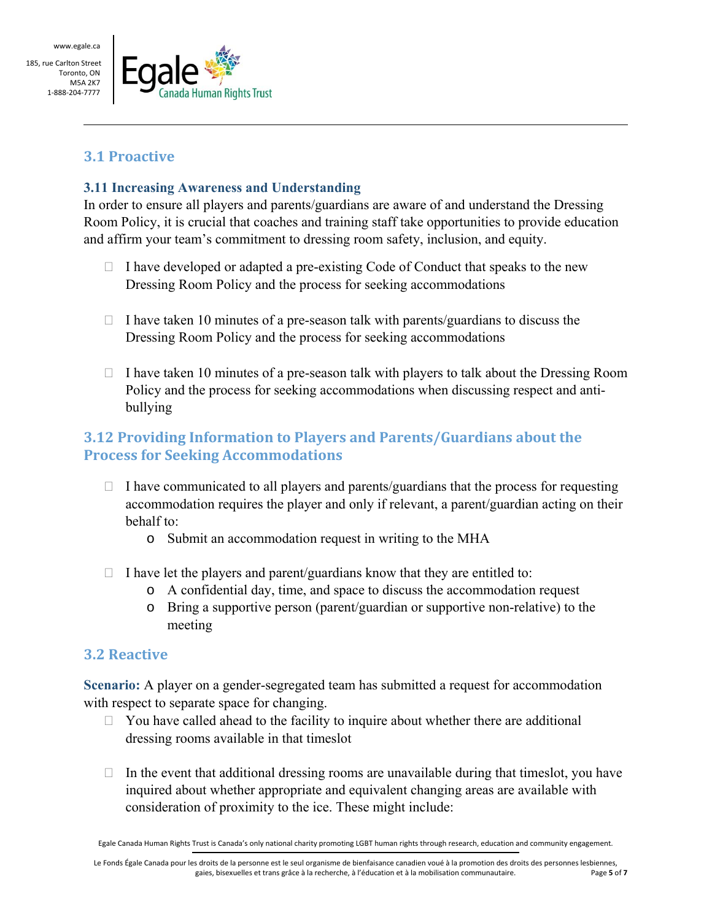$\overline{a}$ 

185, rue Carlton Street Toronto, ON M5A 2K7 1‐888‐204‐7777



### **3.1 Proactive**

#### **3.11 Increasing Awareness and Understanding**

In order to ensure all players and parents/guardians are aware of and understand the Dressing Room Policy, it is crucial that coaches and training staff take opportunities to provide education and affirm your team's commitment to dressing room safety, inclusion, and equity.

- $\Box$  I have developed or adapted a pre-existing Code of Conduct that speaks to the new Dressing Room Policy and the process for seeking accommodations
- $\Box$  I have taken 10 minutes of a pre-season talk with parents/guardians to discuss the Dressing Room Policy and the process for seeking accommodations
- $\Box$  I have taken 10 minutes of a pre-season talk with players to talk about the Dressing Room Policy and the process for seeking accommodations when discussing respect and antibullying

### **3.12 Providing Information to Players and Parents/Guardians about the Process for Seeking Accommodations**

- $\Box$  I have communicated to all players and parents/guardians that the process for requesting accommodation requires the player and only if relevant, a parent/guardian acting on their behalf to:
	- o Submit an accommodation request in writing to the MHA
- $\Box$  I have let the players and parent/guardians know that they are entitled to:
	- o A confidential day, time, and space to discuss the accommodation request
	- o Bring a supportive person (parent/guardian or supportive non-relative) to the meeting

#### **3.2 Reactive**

**Scenario:** A player on a gender-segregated team has submitted a request for accommodation with respect to separate space for changing.

- $\Box$  You have called ahead to the facility to inquire about whether there are additional dressing rooms available in that timeslot
- $\Box$  In the event that additional dressing rooms are unavailable during that timeslot, you have inquired about whether appropriate and equivalent changing areas are available with consideration of proximity to the ice. These might include:

Egale Canada Human Rights Trust is Canada's only national charity promoting LGBT human rights through research, education and community engagement.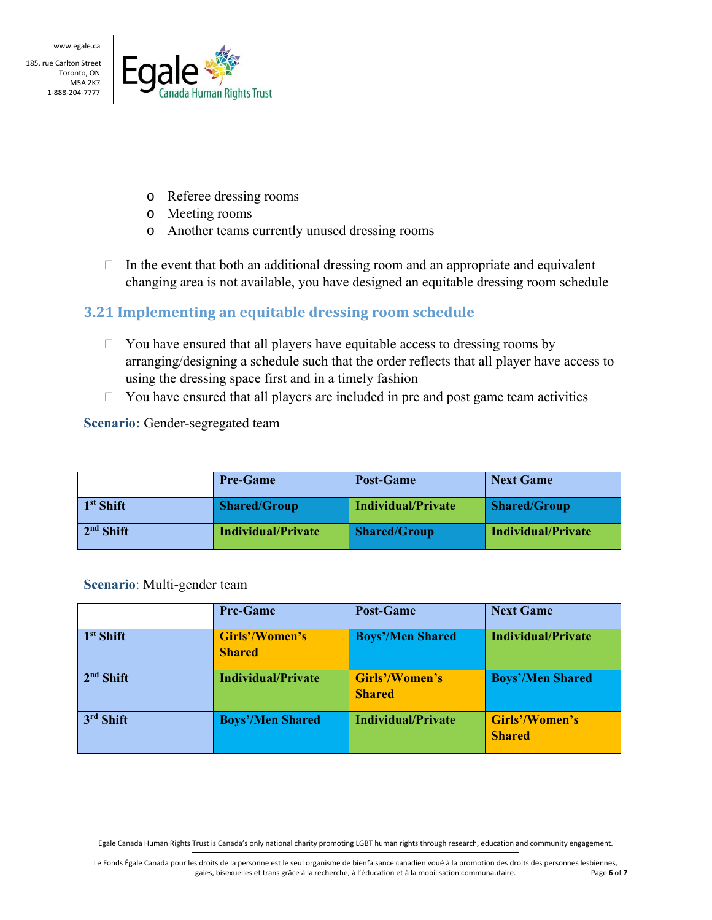$\overline{a}$ 

185, rue Carlton Street Toronto, ON M5A 2K7 1‐888‐204‐7777



- o Referee dressing rooms
- o Meeting rooms
- o Another teams currently unused dressing rooms
- $\Box$  In the event that both an additional dressing room and an appropriate and equivalent changing area is not available, you have designed an equitable dressing room schedule

### **3.21 Implementing an equitable dressing room schedule**

- $\Box$  You have ensured that all players have equitable access to dressing rooms by arranging/designing a schedule such that the order reflects that all player have access to using the dressing space first and in a timely fashion
- $\Box$  You have ensured that all players are included in pre and post game team activities

**Scenario:** Gender-segregated team

|             | <b>Pre-Game</b>     | <b>Post-Game</b>    | <b>Next Game</b>    |
|-------------|---------------------|---------------------|---------------------|
| $1st$ Shift | <b>Shared/Group</b> | Individual/Private  | <b>Shared/Group</b> |
| $2nd$ Shift | Individual/Private  | <b>Shared/Group</b> | Individual/Private  |

#### **Scenario**: Multi-gender team

|             | <b>Pre-Game</b>                 | <b>Post-Game</b>                | <b>Next Game</b>                |
|-------------|---------------------------------|---------------------------------|---------------------------------|
| $1st$ Shift | Girls'/Women's<br><b>Shared</b> | <b>Boys'/Men Shared</b>         | <b>Individual/Private</b>       |
| $2nd$ Shift | Individual/Private              | Girls'/Women's<br><b>Shared</b> | <b>Boys'/Men Shared</b>         |
| $3rd$ Shift | <b>Boys'/Men Shared</b>         | <b>Individual/Private</b>       | Girls'/Women's<br><b>Shared</b> |

Egale Canada Human Rights Trust is Canada's only national charity promoting LGBT human rights through research, education and community engagement.